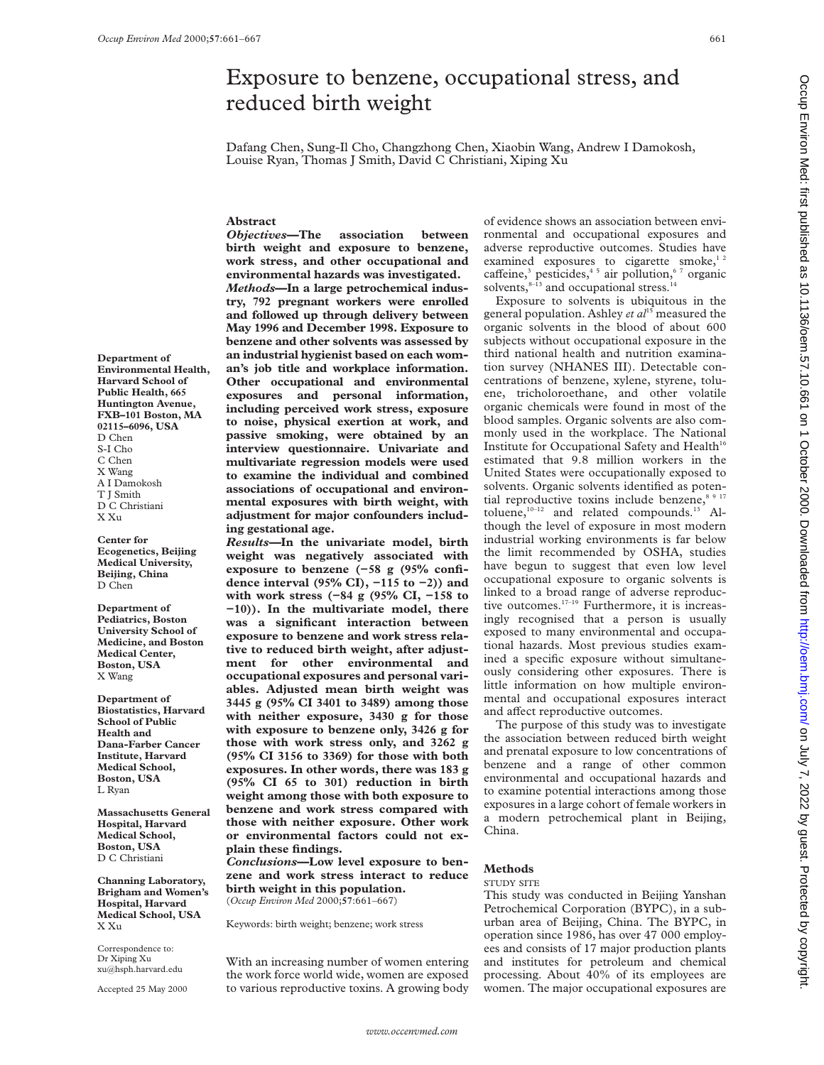# Exposure to benzene, occupational stress, and reduced birth weight

Dafang Chen, Sung-Il Cho, Changzhong Chen, Xiaobin Wang, Andrew I Damokosh, Louise Ryan, Thomas J Smith, David C Christiani, Xiping Xu

# **Abstract**

**birth weight and exposure to benzene, work stress, and other occupational and environmental hazards was investigated.** *Methods***—In a large petrochemical industry, 792 pregnant workers were enrolled and followed up through delivery between May 1996 and December 1998. Exposure to benzene and other solvents was assessed by an industrial hygienist based on each woman's job title and workplace information. Other occupational and environmental exposures and personal information, including perceived work stress, exposure to noise, physical exertion at work, and passive smoking, were obtained by an interview questionnaire. Univariate and multivariate regression models were used to examine the individual and combined associations of occupational and environmental exposures with birth weight, with adjustment for major confounders including gestational age.**

*Objectives***—The association between**

*Results—***In the univariate model, birth weight was negatively associated with exposure to benzene (−58 g (95% confidence interval (95% CI), −115 to −2)) and with work stress (−84 g (95% CI, −158 to −10)). In the multivariate model, there was a significant interaction between exposure to benzene and work stress relative to reduced birth weight, after adjustment for other environmental and occupational exposures and personal variables. Adjusted mean birth weight was 3445 g (95% CI 3401 to 3489) among those with neither exposure, 3430 g for those with exposure to benzene only, 3426 g for those with work stress only, and 3262 g (95% CI 3156 to 3369) for those with both exposures. In other words, there was 183 g (95% CI 65 to 301) reduction in birth weight among those with both exposure to benzene and work stress compared with those with neither exposure. Other work or environmental factors could not explain these findings.**

*Conclusions***—Low level exposure to benzene and work stress interact to reduce birth weight in this population.** (*Occup Environ Med* 2000;**57**:661–667)

Keywords: birth weight; benzene; work stress

With an increasing number of women entering the work force world wide, women are exposed to various reproductive toxins. A growing body

of evidence shows an association between environmental and occupational exposures and adverse reproductive outcomes. Studies have examined exposures to cigarette smoke,<sup>12</sup> caffeine,<sup>3</sup> pesticides,<sup>45</sup> air pollution,<sup>67</sup> organic solvents, 8-13 and occupational stress.<sup>14</sup>

Exposure to solvents is ubiquitous in the general population. Ashley *et al*<sup>15</sup> measured the organic solvents in the blood of about 600 subjects without occupational exposure in the third national health and nutrition examination survey (NHANES III). Detectable concentrations of benzene, xylene, styrene, toluene, tricholoroethane, and other volatile organic chemicals were found in most of the blood samples. Organic solvents are also commonly used in the workplace. The National Institute for Occupational Safety and Health<sup>16</sup> estimated that 9.8 million workers in the United States were occupationally exposed to solvents. Organic solvents identified as potential reproductive toxins include benzene, 8 9 17 toluene,<sup>10-12</sup> and related compounds.<sup>13</sup> Although the level of exposure in most modern industrial working environments is far below the limit recommended by OSHA, studies have begun to suggest that even low level occupational exposure to organic solvents is linked to a broad range of adverse reproductive outcomes.<sup>17-19</sup> Furthermore, it is increasingly recognised that a person is usually exposed to many environmental and occupational hazards. Most previous studies examined a specific exposure without simultaneously considering other exposures. There is little information on how multiple environmental and occupational exposures interact and affect reproductive outcomes.

The purpose of this study was to investigate the association between reduced birth weight and prenatal exposure to low concentrations of benzene and a range of other common environmental and occupational hazards and to examine potential interactions among those exposures in a large cohort of female workers in a modern petrochemical plant in Beijing, China.

## **Methods**

#### STUDY SITE

This study was conducted in Beijing Yanshan Petrochemical Corporation (BYPC), in a suburban area of Beijing, China. The BYPC, in operation since 1986, has over 47 000 employees and consists of 17 major production plants and institutes for petroleum and chemical processing. About 40% of its employees are women. The major occupational exposures are

**Department of Environmental Health, Harvard School of Public Health, 665 Huntington Avenue, FXB–101 Boston, MA 02115–6096, USA** D Chen S-I Cho C Chen X Wang A I Damokosh T J Smith D C Christiani X Xu

**Center for Ecogenetics, Beijing Medical University, Beijing, China** D Chen

**Department of Pediatrics, Boston University School of Medicine, and Boston Medical Center, Boston, USA** X Wang

**Department of Biostatistics, Harvard School of Public Health and Dana-Farber Cancer Institute, Harvard Medical School, Boston, USA** L Ryan

**Massachusetts General Hospital, Harvard Medical School, Boston, USA** D C Christiani

**Channing Laboratory, Brigham and Women's Hospital, Harvard Medical School, USA** X Xu

Correspondence to: Dr Xiping Xu xu@hsph.harvard.edu

Accepted 25 May 2000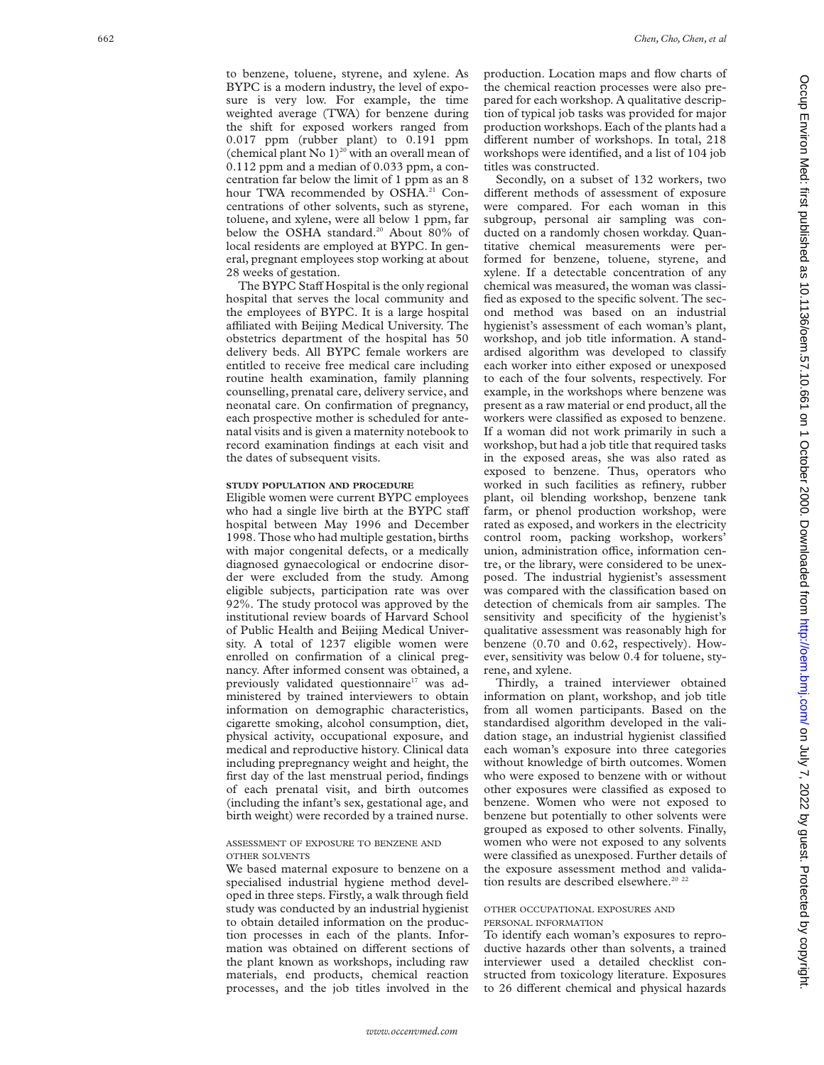to benzene, toluene, styrene, and xylene. As BYPC is a modern industry, the level of exposure is very low. For example, the time weighted average (TWA) for benzene during the shift for exposed workers ranged from 0.017 ppm (rubber plant) to 0.191 ppm (chemical plant No 1)<sup>20</sup> with an overall mean of 0.112 ppm and a median of 0.033 ppm, a concentration far below the limit of 1 ppm as an 8 hour TWA recommended by OSHA.<sup>21</sup> Concentrations of other solvents, such as styrene, toluene, and xylene, were all below 1 ppm, far below the OSHA standard.<sup>20</sup> About 80% of local residents are employed at BYPC. In general, pregnant employees stop working at about 28 weeks of gestation.

The BYPC Staff Hospital is the only regional hospital that serves the local community and the employees of BYPC. It is a large hospital affiliated with Beijing Medical University. The obstetrics department of the hospital has 50 delivery beds. All BYPC female workers are entitled to receive free medical care including routine health examination, family planning counselling, prenatal care, delivery service, and neonatal care. On confirmation of pregnancy, each prospective mother is scheduled for antenatal visits and is given a maternity notebook to record examination findings at each visit and the dates of subsequent visits.

# **STUDY POPULATION AND PROCEDURE**

Eligible women were current BYPC employees who had a single live birth at the BYPC staff hospital between May 1996 and December 1998. Those who had multiple gestation, births with major congenital defects, or a medically diagnosed gynaecological or endocrine disorder were excluded from the study. Among eligible subjects, participation rate was over 92%. The study protocol was approved by the institutional review boards of Harvard School of Public Health and Beijing Medical University. A total of 1237 eligible women were enrolled on confirmation of a clinical pregnancy. After informed consent was obtained, a previously validated questionnaire<sup>17</sup> was administered by trained interviewers to obtain information on demographic characteristics, cigarette smoking, alcohol consumption, diet, physical activity, occupational exposure, and medical and reproductive history. Clinical data including prepregnancy weight and height, the first day of the last menstrual period, findings of each prenatal visit, and birth outcomes (including the infant's sex, gestational age, and birth weight) were recorded by a trained nurse.

## ASSESSMENT OF EXPOSURE TO BENZENE AND OTHER SOLVENTS

We based maternal exposure to benzene on a specialised industrial hygiene method developed in three steps. Firstly, a walk through field study was conducted by an industrial hygienist to obtain detailed information on the production processes in each of the plants. Information was obtained on different sections of the plant known as workshops, including raw materials, end products, chemical reaction processes, and the job titles involved in the

production. Location maps and flow charts of the chemical reaction processes were also prepared for each workshop. A qualitative description of typical job tasks was provided for major production workshops. Each of the plants had a different number of workshops. In total, 218 workshops were identified, and a list of 104 job titles was constructed.

Secondly, on a subset of 132 workers, two different methods of assessment of exposure were compared. For each woman in this subgroup, personal air sampling was conducted on a randomly chosen workday. Quantitative chemical measurements were performed for benzene, toluene, styrene, and xylene. If a detectable concentration of any chemical was measured, the woman was classified as exposed to the specific solvent. The second method was based on an industrial hygienist's assessment of each woman's plant, workshop, and job title information. A standardised algorithm was developed to classify each worker into either exposed or unexposed to each of the four solvents, respectively. For example, in the workshops where benzene was present as a raw material or end product, all the workers were classified as exposed to benzene. If a woman did not work primarily in such a workshop, but had a job title that required tasks in the exposed areas, she was also rated as exposed to benzene. Thus, operators who worked in such facilities as refinery, rubber plant, oil blending workshop, benzene tank farm, or phenol production workshop, were rated as exposed, and workers in the electricity control room, packing workshop, workers' union, administration office, information centre, or the library, were considered to be unexposed. The industrial hygienist's assessment was compared with the classification based on detection of chemicals from air samples. The sensitivity and specificity of the hygienist's qualitative assessment was reasonably high for benzene (0.70 and 0.62, respectively). However, sensitivity was below 0.4 for toluene, styrene, and xylene.

Thirdly, a trained interviewer obtained information on plant, workshop, and job title from all women participants. Based on the standardised algorithm developed in the validation stage, an industrial hygienist classified each woman's exposure into three categories without knowledge of birth outcomes. Women who were exposed to benzene with or without other exposures were classified as exposed to benzene. Women who were not exposed to benzene but potentially to other solvents were grouped as exposed to other solvents. Finally, women who were not exposed to any solvents were classified as unexposed. Further details of the exposure assessment method and validation results are described elsewhere.<sup>20 22</sup>

#### OTHER OCCUPATIONAL EXPOSURES AND PERSONAL INFORMATION

To identify each woman's exposures to reproductive hazards other than solvents, a trained interviewer used a detailed checklist constructed from toxicology literature. Exposures to 26 different chemical and physical hazards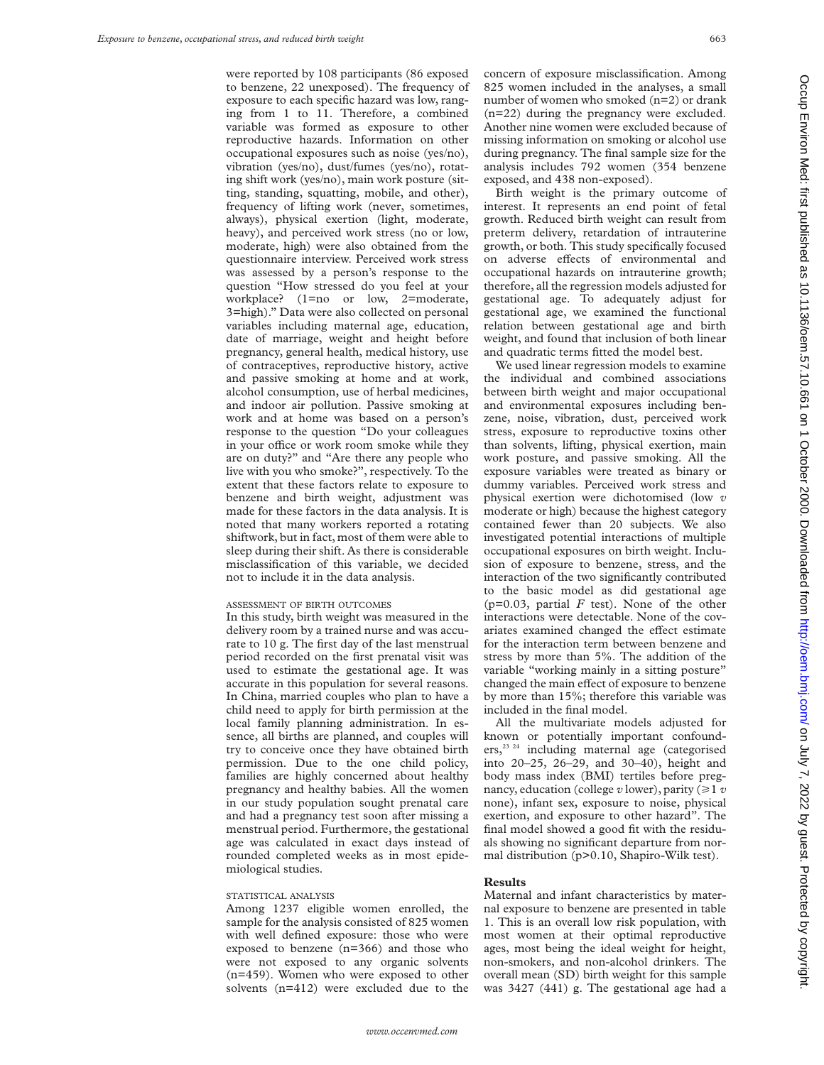were reported by 108 participants (86 exposed to benzene, 22 unexposed). The frequency of exposure to each specific hazard was low, ranging from 1 to 11. Therefore, a combined variable was formed as exposure to other reproductive hazards. Information on other occupational exposures such as noise (yes/no), vibration (yes/no), dust/fumes (yes/no), rotating shift work (yes/no), main work posture (sitting, standing, squatting, mobile, and other), frequency of lifting work (never, sometimes, always), physical exertion (light, moderate, heavy), and perceived work stress (no or low, moderate, high) were also obtained from the questionnaire interview. Perceived work stress was assessed by a person's response to the question "How stressed do you feel at your workplace? (1=no or low, 2=moderate, 3=high)." Data were also collected on personal variables including maternal age, education, date of marriage, weight and height before pregnancy, general health, medical history, use of contraceptives, reproductive history, active and passive smoking at home and at work, alcohol consumption, use of herbal medicines, and indoor air pollution. Passive smoking at work and at home was based on a person's response to the question "Do your colleagues in your office or work room smoke while they are on duty?" and "Are there any people who live with you who smoke?", respectively. To the extent that these factors relate to exposure to benzene and birth weight, adjustment was made for these factors in the data analysis. It is noted that many workers reported a rotating shiftwork, but in fact, most of them were able to sleep during their shift. As there is considerable misclassification of this variable, we decided not to include it in the data analysis.

#### ASSESSMENT OF BIRTH OUTCOMES

In this study, birth weight was measured in the delivery room by a trained nurse and was accurate to 10 g. The first day of the last menstrual period recorded on the first prenatal visit was used to estimate the gestational age. It was accurate in this population for several reasons. In China, married couples who plan to have a child need to apply for birth permission at the local family planning administration. In essence, all births are planned, and couples will try to conceive once they have obtained birth permission. Due to the one child policy, families are highly concerned about healthy pregnancy and healthy babies. All the women in our study population sought prenatal care and had a pregnancy test soon after missing a menstrual period. Furthermore, the gestational age was calculated in exact days instead of rounded completed weeks as in most epidemiological studies.

#### STATISTICAL ANALYSIS

Among 1237 eligible women enrolled, the sample for the analysis consisted of 825 women with well defined exposure: those who were exposed to benzene (n=366) and those who were not exposed to any organic solvents (n=459). Women who were exposed to other solvents (n=412) were excluded due to the

concern of exposure misclassification. Among 825 women included in the analyses, a small number of women who smoked (n=2) or drank (n=22) during the pregnancy were excluded. Another nine women were excluded because of missing information on smoking or alcohol use during pregnancy. The final sample size for the analysis includes 792 women (354 benzene exposed, and 438 non-exposed).

Birth weight is the primary outcome of interest. It represents an end point of fetal growth. Reduced birth weight can result from preterm delivery, retardation of intrauterine growth, or both. This study specifically focused on adverse effects of environmental and occupational hazards on intrauterine growth; therefore, all the regression models adjusted for gestational age. To adequately adjust for gestational age, we examined the functional relation between gestational age and birth weight, and found that inclusion of both linear and quadratic terms fitted the model best.

We used linear regression models to examine the individual and combined associations between birth weight and major occupational and environmental exposures including benzene, noise, vibration, dust, perceived work stress, exposure to reproductive toxins other than solvents, lifting, physical exertion, main work posture, and passive smoking. All the exposure variables were treated as binary or dummy variables. Perceived work stress and physical exertion were dichotomised (low *v* moderate or high) because the highest category contained fewer than 20 subjects. We also investigated potential interactions of multiple occupational exposures on birth weight. Inclusion of exposure to benzene, stress, and the interaction of the two significantly contributed to the basic model as did gestational age (p=0.03, partial *F* test). None of the other interactions were detectable. None of the covariates examined changed the effect estimate for the interaction term between benzene and stress by more than 5%. The addition of the variable "working mainly in a sitting posture" changed the main effect of exposure to benzene by more than 15%; therefore this variable was included in the final model.

All the multivariate models adjusted for known or potentially important confounders, $^{23}$   $^{24}$  including maternal age (categorised into 20–25, 26–29, and 30–40), height and body mass index (BMI) tertiles before pregnancy, education (college  $v$  lower), parity ( $\geq 1$   $v$ none), infant sex, exposure to noise, physical exertion, and exposure to other hazard". The final model showed a good fit with the residuals showing no significant departure from normal distribution (p>0.10, Shapiro-Wilk test).

#### **Results**

Maternal and infant characteristics by maternal exposure to benzene are presented in table 1. This is an overall low risk population, with most women at their optimal reproductive ages, most being the ideal weight for height, non-smokers, and non-alcohol drinkers. The overall mean (SD) birth weight for this sample was 3427 (441) g. The gestational age had a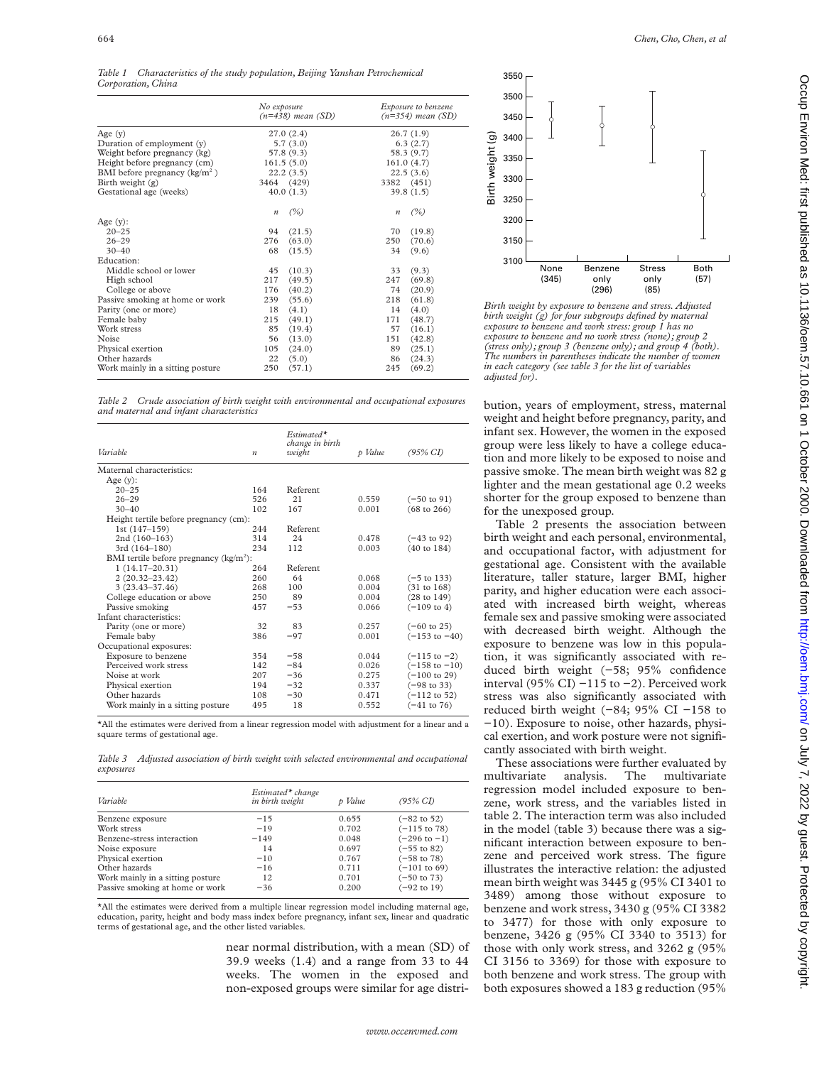*Table 1 Characteristics of the study population, Beijing Yanshan Petrochemical Corporation, China*

|                                           | No exposure<br>$(n=438)$ mean (SD)<br>27.0(2.4) |            | Exposure to benzene<br>$(n=354)$ mean (SD)<br>26.7(1.9) |            |
|-------------------------------------------|-------------------------------------------------|------------|---------------------------------------------------------|------------|
| Age $(v)$                                 |                                                 |            |                                                         |            |
| Duration of employment (y)                | 5.7(3.0)                                        |            | 6.3(2.7)                                                |            |
| Weight before pregnancy (kg)              | 57.8 (9.3)                                      |            | 58.3 (9.7)                                              |            |
| Height before pregnancy (cm)              | 161.5(5.0)                                      |            | 161.0(4.7)                                              |            |
| BMI before pregnancy (kg/m <sup>2</sup> ) | 22.2(3.5)                                       |            | 22.5(3.6)                                               |            |
| Birth weight (g)                          |                                                 | 3464 (429) |                                                         | 3382 (451) |
| Gestational age (weeks)                   | 40.0(1.3)                                       |            | 39.8(1.5)                                               |            |
|                                           | $\boldsymbol{n}$                                | (%)        | $\boldsymbol{n}$                                        | (%)        |
| Age $(y)$ :                               |                                                 |            |                                                         |            |
| $20 - 25$                                 | 94                                              | (21.5)     | 70                                                      | (19.8)     |
| $26 - 29$                                 | 276                                             | (63.0)     | 250                                                     | (70.6)     |
| $30 - 40$                                 | 68                                              | (15.5)     | 34                                                      | (9.6)      |
| Education:                                |                                                 |            |                                                         |            |
| Middle school or lower                    | 45                                              | (10.3)     | 33                                                      | (9.3)      |
| High school                               | 217                                             | (49.5)     | 247                                                     | (69.8)     |
| College or above                          | 176                                             | (40.2)     | 74                                                      | (20.9)     |
| Passive smoking at home or work           | 239                                             | (55.6)     | 218                                                     | (61.8)     |
| Parity (one or more)                      | 18                                              | (4.1)      | 14                                                      | (4.0)      |
| Female baby                               | 215                                             | (49.1)     | 171                                                     | (48.7)     |
| Work stress                               | 85                                              | (19.4)     | 57                                                      | (16.1)     |
| <b>Noise</b>                              | 56                                              | (13.0)     | 151                                                     | (42.8)     |
| Physical exertion                         | 105                                             | (24.0)     | 89                                                      | (25.1)     |
| Other hazards                             | 22                                              | (5.0)      | 86                                                      | (24.3)     |
| Work mainly in a sitting posture          | 250                                             | (57.1)     | 245                                                     | (69.2)     |

*Table 2 Crude association of birth weight with environmental and occupational exposures and maternal and infant characteristics*

| Variable                                           | $\boldsymbol{n}$ | $Estimated*$<br>change in birth<br>weight | p Value | $(95\% \text{ CI})$     |
|----------------------------------------------------|------------------|-------------------------------------------|---------|-------------------------|
| Maternal characteristics:                          |                  |                                           |         |                         |
| Age $(v)$ :                                        |                  |                                           |         |                         |
| $20 - 25$                                          | 164              | Referent                                  |         |                         |
| $26 - 29$                                          | 526              | 2.1                                       | 0.559   | $(-50 \text{ to } 91)$  |
| $30 - 40$                                          | 102              | 167                                       | 0.001   | $(68 \text{ to } 266)$  |
| Height tertile before pregnancy (cm):              |                  |                                           |         |                         |
| 1st $(147-159)$                                    | 244              | Referent                                  |         |                         |
| 2nd (160-163)                                      | 314              | 24                                        | 0.478   | $(-43 \text{ to } 92)$  |
| 3rd (164-180)                                      | 234              | 112                                       | 0.003   | $(40 \text{ to } 184)$  |
| BMI tertile before pregnancy (kg/m <sup>2</sup> ): |                  |                                           |         |                         |
| $1(14.17-20.31)$                                   | 264              | Referent                                  |         |                         |
| $2(20.32 - 23.42)$                                 | 260              | 64                                        | 0.068   | $(-5 \text{ to } 133)$  |
| $3(23.43 - 37.46)$                                 | 268              | 100                                       | 0.004   | $(31 \text{ to } 168)$  |
| College education or above                         | 250              | 89                                        | 0.004   | $(28 \text{ to } 149)$  |
| Passive smoking                                    | 457              | $-53$                                     | 0.066   | $(-109 \text{ to } 4)$  |
| Infant characteristics:                            |                  |                                           |         |                         |
| Parity (one or more)                               | 32               | 83                                        | 0.257   | $(-60 \text{ to } 25)$  |
| Female baby                                        | 386              | $-97$                                     | 0.001   | $(-153$ to $-40)$       |
| Occupational exposures:                            |                  |                                           |         |                         |
| Exposure to benzene                                | 354              | $-58$                                     | 0.044   | $(-115$ to $-2)$        |
| Perceived work stress                              | 142              | $-84$                                     | 0.026   | $(-158$ to $-10)$       |
| Noise at work                                      | 207              | $-36$                                     | 0.275   | $(-100 \text{ to } 29)$ |
| Physical exertion                                  | 194              | $-32$                                     | 0.337   | $(-98 \text{ to } 33)$  |
| Other hazards                                      | 108              | $-30$                                     | 0.471   | $(-112 \text{ to } 52)$ |
| Work mainly in a sitting posture                   | 495              | 18                                        | 0.552   | $(-41 \text{ to } 76)$  |

\*All the estimates were derived from a linear regression model with adjustment for a linear and a square terms of gestational age.

*Table 3 Adjusted association of birth weight with selected environmental and occupational exposures*

| Variable                         | $Estimated * change$<br>in birth weight | p Value | $(95\% \text{ CI})$     |
|----------------------------------|-----------------------------------------|---------|-------------------------|
| Benzene exposure                 | $-15$                                   | 0.655   | $(-82 \text{ to } 52)$  |
| Work stress                      | $-19$                                   | 0.702   | $(-115 \text{ to } 78)$ |
| Benzene-stress interaction       | $-149$                                  | 0.048   | $(-296 \text{ to } -1)$ |
| Noise exposure                   | 14                                      | 0.697   | $(-55 \text{ to } 82)$  |
| Physical exertion                | $-10$                                   | 0.767   | $(-58 \text{ to } 78)$  |
| Other hazards                    | $-16$                                   | 0.711   | $(-101$ to 69)          |
| Work mainly in a sitting posture | 12                                      | 0.701   | $(-50 \text{ to } 73)$  |
| Passive smoking at home or work  | $-36$                                   | 0.200   | $(-92 \text{ to } 19)$  |

\*All the estimates were derived from a multiple linear regression model including maternal age, education, parity, height and body mass index before pregnancy, infant sex, linear and quadratic terms of gestational age, and the other listed variables.

> near normal distribution, with a mean (SD) of 39.9 weeks (1.4) and a range from 33 to 44 weeks. The women in the exposed and non-exposed groups were similar for age distri-



*Birth weight by exposure to benzene and stress. Adjusted birth weight (g) for four subgroups defined by maternal exposure to benzene and work stress: group 1 has no exposure to benzene and no work stress (none); group 2 (stress only); group 3 (benzene only); and group 4 (both). The numbers in parentheses indicate the number of women in each category (see table 3 for the list of variables adjusted for).*

bution, years of employment, stress, maternal weight and height before pregnancy, parity, and infant sex. However, the women in the exposed group were less likely to have a college education and more likely to be exposed to noise and passive smoke. The mean birth weight was 82 g lighter and the mean gestational age 0.2 weeks shorter for the group exposed to benzene than for the unexposed group.

Table 2 presents the association between birth weight and each personal, environmental, and occupational factor, with adjustment for gestational age. Consistent with the available literature, taller stature, larger BMI, higher parity, and higher education were each associated with increased birth weight, whereas female sex and passive smoking were associated with decreased birth weight. Although the exposure to benzene was low in this population, it was significantly associated with reduced birth weight (−58; 95% confidence interval (95% CI) −115 to −2). Perceived work stress was also significantly associated with reduced birth weight (−84; 95% CI −158 to −10). Exposure to noise, other hazards, physical exertion, and work posture were not significantly associated with birth weight.

These associations were further evaluated by multivariate analysis. The multivariate regression model included exposure to benzene, work stress, and the variables listed in table 2. The interaction term was also included in the model (table 3) because there was a significant interaction between exposure to benzene and perceived work stress. The figure illustrates the interactive relation: the adjusted mean birth weight was 3445 g (95% CI 3401 to 3489) among those without exposure to benzene and work stress, 3430 g (95% CI 3382 to 3477) for those with only exposure to benzene, 3426 g (95% CI 3340 to 3513) for those with only work stress, and 3262 g (95% CI 3156 to 3369) for those with exposure to both benzene and work stress. The group with both exposures showed a 183 g reduction (95%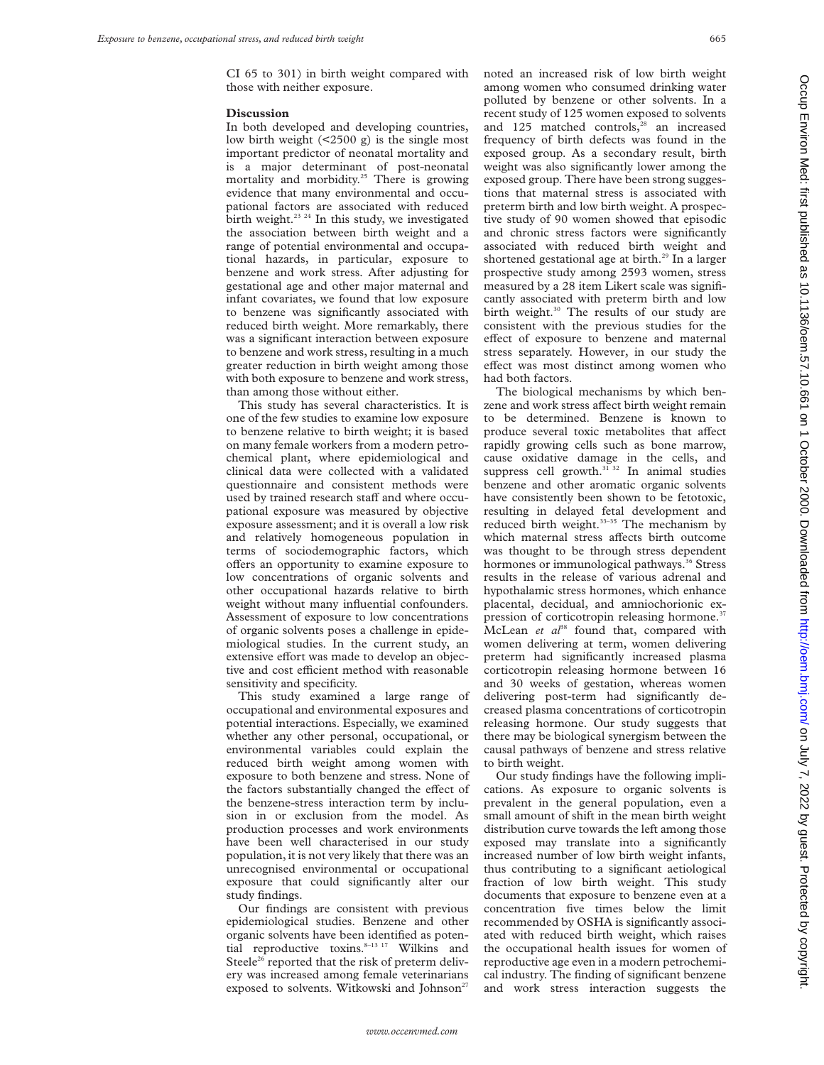CI 65 to 301) in birth weight compared with those with neither exposure.

#### **Discussion**

In both developed and developing countries, low birth weight (<2500 g) is the single most important predictor of neonatal mortality and is a major determinant of post-neonatal mortality and morbidity.<sup>25</sup> There is growing evidence that many environmental and occupational factors are associated with reduced birth weight.<sup>23 24</sup> In this study, we investigated the association between birth weight and a range of potential environmental and occupational hazards, in particular, exposure to benzene and work stress. After adjusting for gestational age and other major maternal and infant covariates, we found that low exposure to benzene was significantly associated with reduced birth weight. More remarkably, there was a significant interaction between exposure to benzene and work stress, resulting in a much greater reduction in birth weight among those with both exposure to benzene and work stress, than among those without either.

This study has several characteristics. It is one of the few studies to examine low exposure to benzene relative to birth weight; it is based on many female workers from a modern petrochemical plant, where epidemiological and clinical data were collected with a validated questionnaire and consistent methods were used by trained research staff and where occupational exposure was measured by objective exposure assessment; and it is overall a low risk and relatively homogeneous population in terms of sociodemographic factors, which offers an opportunity to examine exposure to low concentrations of organic solvents and other occupational hazards relative to birth weight without many influential confounders. Assessment of exposure to low concentrations of organic solvents poses a challenge in epidemiological studies. In the current study, an extensive effort was made to develop an objective and cost efficient method with reasonable sensitivity and specificity.

This study examined a large range of occupational and environmental exposures and potential interactions. Especially, we examined whether any other personal, occupational, or environmental variables could explain the reduced birth weight among women with exposure to both benzene and stress. None of the factors substantially changed the effect of the benzene-stress interaction term by inclusion in or exclusion from the model. As production processes and work environments have been well characterised in our study population, it is not very likely that there was an unrecognised environmental or occupational exposure that could significantly alter our study findings.

Our findings are consistent with previous epidemiological studies. Benzene and other organic solvents have been identified as potential reproductive toxins.<sup>8-13 17</sup> Wilkins and Steele<sup>26</sup> reported that the risk of preterm delivery was increased among female veterinarians exposed to solvents. Witkowski and Johnson<sup>27</sup> noted an increased risk of low birth weight among women who consumed drinking water polluted by benzene or other solvents. In a recent study of 125 women exposed to solvents and  $125$  matched controls,<sup>28</sup> an increased frequency of birth defects was found in the exposed group. As a secondary result, birth weight was also significantly lower among the exposed group. There have been strong suggestions that maternal stress is associated with preterm birth and low birth weight. A prospective study of 90 women showed that episodic and chronic stress factors were significantly associated with reduced birth weight and shortened gestational age at birth.<sup>29</sup> In a larger prospective study among 2593 women, stress measured by a 28 item Likert scale was significantly associated with preterm birth and low birth weight.<sup>30</sup> The results of our study are consistent with the previous studies for the effect of exposure to benzene and maternal stress separately. However, in our study the effect was most distinct among women who had both factors.

The biological mechanisms by which benzene and work stress affect birth weight remain to be determined. Benzene is known to produce several toxic metabolites that affect rapidly growing cells such as bone marrow, cause oxidative damage in the cells, and suppress cell growth. $31 \overline{)32}$  In animal studies benzene and other aromatic organic solvents have consistently been shown to be fetotoxic, resulting in delayed fetal development and reduced birth weight.<sup>33-35</sup> The mechanism by which maternal stress affects birth outcome was thought to be through stress dependent hormones or immunological pathways.<sup>36</sup> Stress results in the release of various adrenal and hypothalamic stress hormones, which enhance placental, decidual, and amniochorionic expression of corticotropin releasing hormone.<sup>37</sup> McLean *et al*<sup>38</sup> found that, compared with women delivering at term, women delivering preterm had significantly increased plasma corticotropin releasing hormone between 16 and 30 weeks of gestation, whereas women delivering post-term had significantly decreased plasma concentrations of corticotropin releasing hormone. Our study suggests that there may be biological synergism between the causal pathways of benzene and stress relative to birth weight.

Our study findings have the following implications. As exposure to organic solvents is prevalent in the general population, even a small amount of shift in the mean birth weight distribution curve towards the left among those exposed may translate into a significantly increased number of low birth weight infants, thus contributing to a significant aetiological fraction of low birth weight. This study documents that exposure to benzene even at a concentration five times below the limit recommended by OSHA is significantly associated with reduced birth weight, which raises the occupational health issues for women of reproductive age even in a modern petrochemical industry. The finding of significant benzene and work stress interaction suggests the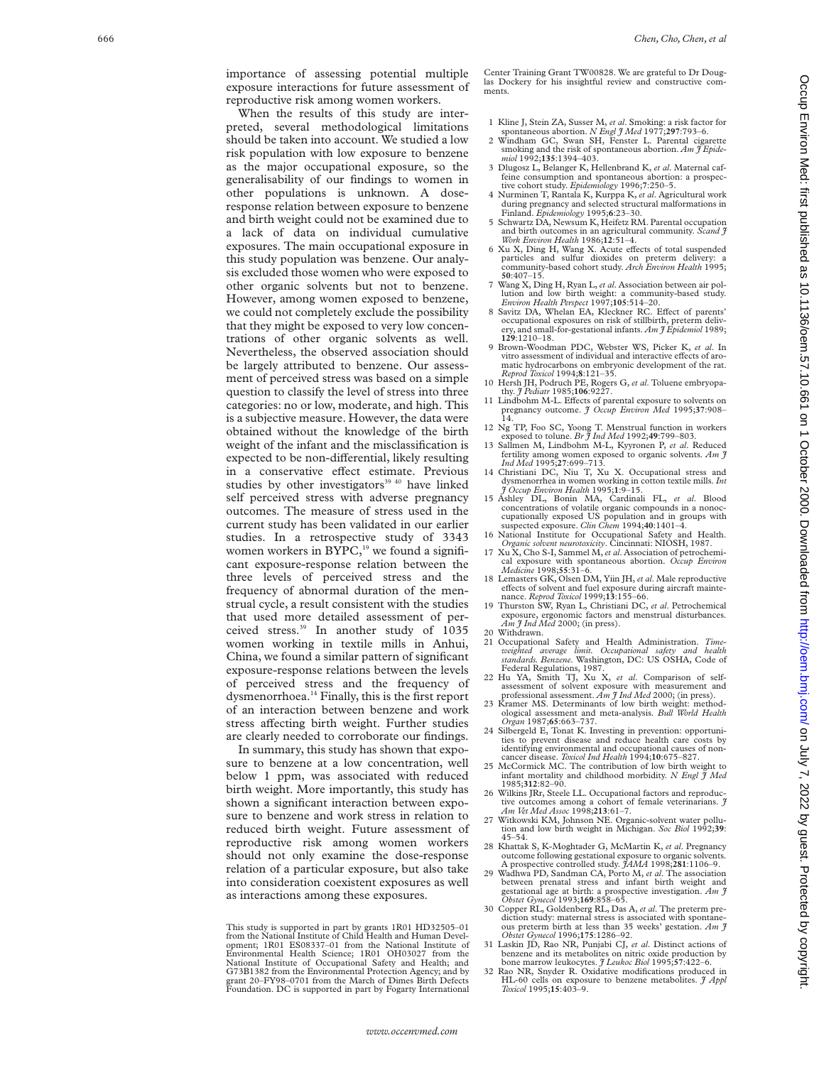importance of assessing potential multiple exposure interactions for future assessment of reproductive risk among women workers.

When the results of this study are interpreted, several methodological limitations should be taken into account. We studied a low risk population with low exposure to benzene as the major occupational exposure, so the generalisability of our findings to women in other populations is unknown. A doseresponse relation between exposure to benzene and birth weight could not be examined due to a lack of data on individual cumulative exposures. The main occupational exposure in this study population was benzene. Our analysis excluded those women who were exposed to other organic solvents but not to benzene. However, among women exposed to benzene, we could not completely exclude the possibility that they might be exposed to very low concentrations of other organic solvents as well. Nevertheless, the observed association should be largely attributed to benzene. Our assessment of perceived stress was based on a simple question to classify the level of stress into three categories: no or low, moderate, and high. This is a subjective measure. However, the data were obtained without the knowledge of the birth weight of the infant and the misclassification is expected to be non-differential, likely resulting in a conservative effect estimate. Previous studies by other investigators<sup>39 40</sup> have linked self perceived stress with adverse pregnancy outcomes. The measure of stress used in the current study has been validated in our earlier studies. In a retrospective study of 3343 women workers in BYPC,<sup>19</sup> we found a significant exposure-response relation between the three levels of perceived stress and the frequency of abnormal duration of the menstrual cycle, a result consistent with the studies that used more detailed assessment of perceived stress.<sup>39</sup> In another study of 1035 women working in textile mills in Anhui, China, we found a similar pattern of significant exposure-response relations between the levels of perceived stress and the frequency of dysmenorrhoea.14 Finally, this is the first report of an interaction between benzene and work stress affecting birth weight. Further studies are clearly needed to corroborate our findings.

In summary, this study has shown that exposure to benzene at a low concentration, well below 1 ppm, was associated with reduced birth weight. More importantly, this study has shown a significant interaction between exposure to benzene and work stress in relation to reduced birth weight. Future assessment of reproductive risk among women workers should not only examine the dose-response relation of a particular exposure, but also take into consideration coexistent exposures as well as interactions among these exposures.

Center Training Grant TW00828. We are grateful to Dr Doug-las Dockery for his insightful review and constructive comments.

- 1 Kline J, Stein ZA, Susser M, *et al*. Smoking: a risk factor for
- spontaneous abortion. *N Engl J Med* 1977;**297**:793–6. 2 Windham GC, Swan SH, Fenster L. Parental cigarette smoking and the risk of spontaneous abortion. *Am J Epidemiol* 1992;**135**:1394–403.
- 3 Dlugosz L, Belanger K, Hellenbrand K, *et al*. Maternal caffeine consumption and spontaneous abortion: a prospec-tive cohort study. *Epidemiology* 1996;**7**:250–5.
- 4 Nurminen T, Rantala K, Kurppa K, *et al*. Agricultural work during pregnancy and selected structural malformations in Finland. *Epidemiology* 1995; **6**:23–30.
- 5 Schwartz DA, Newsum K, Heifetz RM. Parental occupation and birth outcomes in an agricultural community. *Scand J Work Environ Health* 1986;**12**:51–4.
- 6 Xu X, Ding H, Wang X. Acute effects of total suspended particles and sulfur dioxides on preterm delivery: a community-based cohort study. *Arch Environ Health* 1995; **50**:407–15.
- 7 Wang X, Ding H, Ryan L, *et al*. Association between air pollution and low birth weight: a community-based study. *Environ Health Perspect* 1997;**105**:514–20.
- 8 Savitz DA, Whelan EA, Kleckner RC. Effect of parents' occupational exposures on risk of stillbirth, preterm delivery, and small-for-gestational infants. *Am J Epidemiol* 1989; **129**:1210–18.
- 9 Brown-Woodman PDC, Webster WS, Picker K, *et al*. In vitro assessment of individual and interactive effects of aromatic hydrocarbons on embryonic development of the rat. *Reprod Toxicol* 1994; **8**:121–35.
- 10 Hersh JH, Podruch PE, Rogers G, *et al*. Toluene embryopa-thy. *J Pediatr* 1985;**106**:9227.
- 11 Lindbohm M-L. Effects of parental exposure to solvents on indbohm M-L. Effects of parental exposure to solvents on<br>pregnancy outcome. *J Occup Environ Med* 1995;37:908–<br>14.
- 12 Ng TP, Foo SC, Yoong T. Menstrual function in workers exposed to tolune. *Br J Ind Med* 1992;**49**:799–803.
- 13 Sallmen M, Lindbohm M-L, Kyyronen P, *et al*. Reduced fertility among women exposed to organic solvents. *Am J Ind Med* 1995;**27**:699–713.
- 14 Christiani DC, Niu T, Xu X. Occupational stress and dysmenorrhea in women working in cotton textile mills. *Int J Occup Environ Health* 1995; **1**:9–15.
- 15 Ashley DL, Bonin MA, Cardinali FL, *et al*. Blood concentrations of volatile organic compounds in a nonoccupationally exposed US population and in groups with suspected exposure. *Clin Chem* 1994;**40**:1401–4.
- 16 National Institute for Occupational Safety and Health. *Organic solvent neurotoxicity*. Cincinnati: NIOSH, 1987.
- 17 Xu X, Cho S-I, Sammel M,*et al*. Association of petrochemi-cal exposure with spontaneous abortion. *Occup Environ*
- *Medicine* 1998;**55**:31–6. 18 Lemasters GK, Olsen DM, Yiin JH, *et al.* Male reproductive effects of solvent and fuel exposure during aircraft mainte-nance. *Reprod Toxicol* 1999;13:155–66.
- 19 Thurston SW, Ryan L, Christiani DC, *et al*. Petrochemical exposure, ergonomic factors and menstrual disturbances. *Am J Ind Med* 2000; (in press).
- 20 Withdrawn.
- 21 Occupational Safety and Health Administration. *Time-weighted average limit. Occupational safety and health standards. Benzene*. Washington, DC: US OSHA, Code of
- Federal Regulations, 1987.<br>22 Hu YA, Smith TJ, Xu X, et al. Comparison of self-<br>assessment of solvent exposure with measurement and professional assessment. *Am J Ind Med* 2000; (in press).
- 23 Kramer MS. Determinants of low birth weight: methodological assessment and meta-analysis. *Bull World Health Organ* 1987;**65**:663–737.
- 24 Silbergeld E, Tonat K. Investing in prevention: opportunities to prevent disease and reduce health care costs by identifying environmental and occupational causes of noncancer disease. *Toxicol Ind Health* 1994;**10**:675–827.
- 25 McCormick MC. The contribution of low birth weight infant mortality and childhood morbidity. *N Engl J Med* 1985;**312**:82–90.
- 26 Wilkins JRr, Steele LL. Occupational factors and reproductive outcomes among a cohort of female veterinarians. *J Am Vet Med Assoc* 1998;**213**:61–7.
- 27 Witkowski KM, Johnson NE. Organic-solvent water pollution and low birth weight in Michigan. *Soc Biol* 1992;**39**: 45–54.
- 28 Khattak S, K-Moghtader G, McMartin K, *et al*. Pregnancy outcome following gestational exposure to organic solvents. A prospective controlled study. *JAMA* 1998;**281**:1106–9.
- 29 Wadhwa PD, Sandman CA, Porto M, *et al*. The association between prenatal stress and infant birth weight and gestational age at birth: a prospective investigation. *Am J Obstet Gynecol* 1993;**169**:858–65.
- 30 Copper RL, Goldenberg RL, Das A, *et al*. The preterm prediction study: maternal stress is associated with spontane-ous preterm birth at less than 35 weeks' gestation. *Am J Obstet Gynecol* 1996;**175**:1286–92.
- 31 Laskin JD, Rao NR, Punjabi CJ, *et al*. Distinct actions of benzene and its metabolites on nitric oxide production by bone marrow leukocytes. *J Leukoc Biol* 1995;**57**:422–6.
- 32 Rao NR, Snyder R. Oxidative modifications produced in HL-60 cells on exposure to benzene metabolites. *J Appl Toxicol* 1995;**15**:403–9.

This study is supported in part by grants 1R01 HD32505–01<br>from the National Institute of Child Health and Human Devel-<br>opment; 1R01 ES08337–01 from the National Institute of<br>Environmental Health Science; 1R01 OH03027 from National Institute of Occupational Safety and Health; and G73B1382 from the Environmental Protection Agency; and by grant 20–FY98–0701 from the March of Dimes Birth Defects Foundation. DC is supported in part by Fogarty International